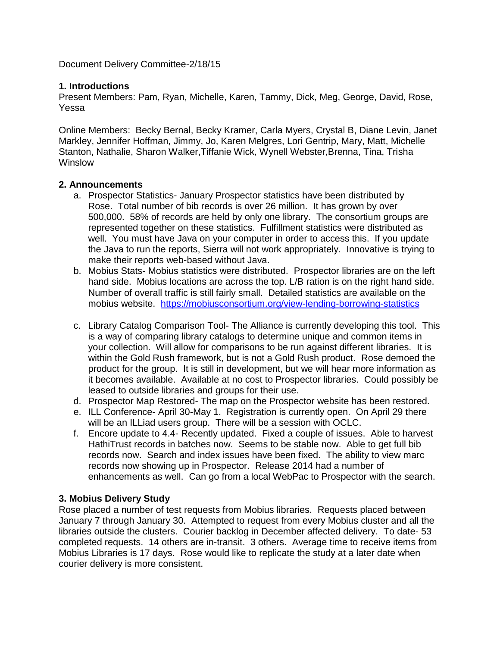Document Delivery Committee-2/18/15

#### **1. Introductions**

Present Members: Pam, Ryan, Michelle, Karen, Tammy, Dick, Meg, George, David, Rose, Yessa

Online Members: Becky Bernal, Becky Kramer, Carla Myers, Crystal B, Diane Levin, Janet Markley, Jennifer Hoffman, Jimmy, Jo, Karen Melgres, Lori Gentrip, Mary, Matt, Michelle Stanton, Nathalie, Sharon Walker,Tiffanie Wick, Wynell Webster,Brenna, Tina, Trisha Winslow

#### **2. Announcements**

- a. Prospector Statistics- January Prospector statistics have been distributed by Rose. Total number of bib records is over 26 million. It has grown by over 500,000. 58% of records are held by only one library. The consortium groups are represented together on these statistics. Fulfillment statistics were distributed as well. You must have Java on your computer in order to access this. If you update the Java to run the reports, Sierra will not work appropriately. Innovative is trying to make their reports web-based without Java.
- b. Mobius Stats- Mobius statistics were distributed. Prospector libraries are on the left hand side. Mobius locations are across the top. L/B ration is on the right hand side. Number of overall traffic is still fairly small. Detailed statistics are available on the mobius website. <https://mobiusconsortium.org/view-lending-borrowing-statistics>
- c. Library Catalog Comparison Tool- The Alliance is currently developing this tool. This is a way of comparing library catalogs to determine unique and common items in your collection. Will allow for comparisons to be run against different libraries. It is within the Gold Rush framework, but is not a Gold Rush product. Rose demoed the product for the group. It is still in development, but we will hear more information as it becomes available. Available at no cost to Prospector libraries. Could possibly be leased to outside libraries and groups for their use.
- d. Prospector Map Restored- The map on the Prospector website has been restored.
- e. ILL Conference- April 30-May 1. Registration is currently open. On April 29 there will be an ILLiad users group. There will be a session with OCLC.
- f. Encore update to 4.4- Recently updated. Fixed a couple of issues. Able to harvest HathiTrust records in batches now. Seems to be stable now. Able to get full bib records now. Search and index issues have been fixed. The ability to view marc records now showing up in Prospector. Release 2014 had a number of enhancements as well. Can go from a local WebPac to Prospector with the search.

## **3. Mobius Delivery Study**

Rose placed a number of test requests from Mobius libraries. Requests placed between January 7 through January 30. Attempted to request from every Mobius cluster and all the libraries outside the clusters. Courier backlog in December affected delivery. To date- 53 completed requests. 14 others are in-transit. 3 others. Average time to receive items from Mobius Libraries is 17 days. Rose would like to replicate the study at a later date when courier delivery is more consistent.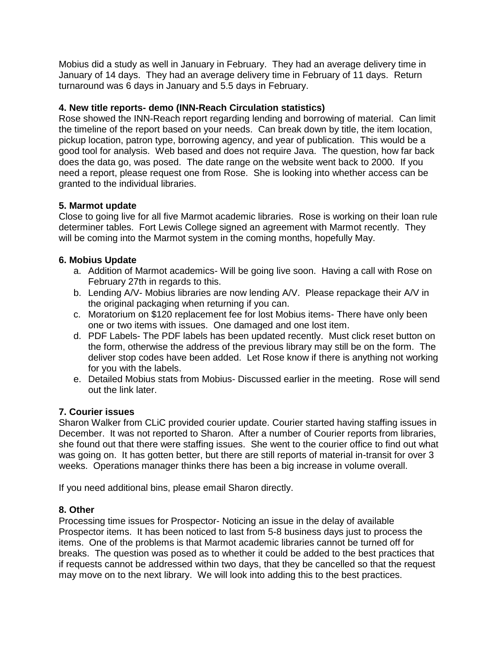Mobius did a study as well in January in February. They had an average delivery time in January of 14 days. They had an average delivery time in February of 11 days. Return turnaround was 6 days in January and 5.5 days in February.

# **4. New title reports- demo (INN-Reach Circulation statistics)**

Rose showed the INN-Reach report regarding lending and borrowing of material. Can limit the timeline of the report based on your needs. Can break down by title, the item location, pickup location, patron type, borrowing agency, and year of publication. This would be a good tool for analysis. Web based and does not require Java. The question, how far back does the data go, was posed. The date range on the website went back to 2000. If you need a report, please request one from Rose. She is looking into whether access can be granted to the individual libraries.

## **5. Marmot update**

Close to going live for all five Marmot academic libraries. Rose is working on their loan rule determiner tables. Fort Lewis College signed an agreement with Marmot recently. They will be coming into the Marmot system in the coming months, hopefully May.

#### **6. Mobius Update**

- a. Addition of Marmot academics- Will be going live soon. Having a call with Rose on February 27th in regards to this.
- b. Lending A/V- Mobius libraries are now lending A/V. Please repackage their A/V in the original packaging when returning if you can.
- c. Moratorium on \$120 replacement fee for lost Mobius items- There have only been one or two items with issues. One damaged and one lost item.
- d. PDF Labels- The PDF labels has been updated recently. Must click reset button on the form, otherwise the address of the previous library may still be on the form. The deliver stop codes have been added. Let Rose know if there is anything not working for you with the labels.
- e. Detailed Mobius stats from Mobius- Discussed earlier in the meeting. Rose will send out the link later.

## **7. Courier issues**

Sharon Walker from CLiC provided courier update. Courier started having staffing issues in December. It was not reported to Sharon. After a number of Courier reports from libraries, she found out that there were staffing issues. She went to the courier office to find out what was going on. It has gotten better, but there are still reports of material in-transit for over 3 weeks. Operations manager thinks there has been a big increase in volume overall.

If you need additional bins, please email Sharon directly.

#### **8. Other**

Processing time issues for Prospector- Noticing an issue in the delay of available Prospector items. It has been noticed to last from 5-8 business days just to process the items. One of the problems is that Marmot academic libraries cannot be turned off for breaks. The question was posed as to whether it could be added to the best practices that if requests cannot be addressed within two days, that they be cancelled so that the request may move on to the next library. We will look into adding this to the best practices.